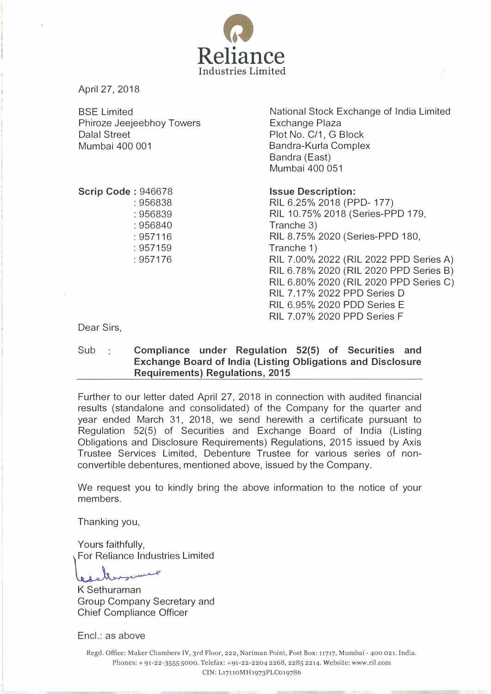

April 27, 2018

BSE Limited Phiroze Jeejeebhoy Towers Dalal Street Mumbai 400 001

National Stock Exchange of India Limited Exchange Plaza Plot No. C/1, G Block Bandra-Kurla Complex Bandra (East) Mumbai 400 051

Scrip Code : 946678

: 956838 : 956839 : 956840 : 957116 : 957159 : 957176

Issue Description:

RIL 6.25% 2018 (PPD- 177) RIL 10.75% 2018 (Series-PPD 179, Tranche 3) RIL 8.75%2020 (Series-PPD 180, Tranche 1) RIL 7.00% 2022 (RIL 2022 PPD Series A) RIL 6.78% 2020 (RIL 2020 PPD Series B) RIL 6.80% 2020 (RIL 2020 PPD Series C) RIL 7.17% 2022 PPD Series D RIL 6.95% 2020 POD Series E RIL 7.07% 2020 PPD Series F

Dear Sirs,

Sub : Compliance under Regulation 52(5) of Securities and Exchange Board of India (Listing Obligations and Disclosure Requirements) Regulations, 2015

Further to our letter dated April 27, 2018 in connection with audited financial results (standalone and consolidated) of the Company for the quarter and year ended March 31, 2018, we send herewith a certificate pursuant to Regulation 52(5) of Securities and Exchange Board of India (Listing Obligations and Disclosure Requirements) Regulations, 2015 issued by Axis Trustee Services Limited, Debenture Trustee for various series of nonconvertible debentures, mentioned above, issued by the Company.

We request you to kindly bring the above information to the notice of your members.

Thanking you,

Yours faithfully,<br>For Reliance Indus Yours faithfully, tries Limited

, xk

K Sethuraman Group Company Secretary and Chief Compliance Officer

Encl.: as above

Regd. Office: Maker Chambers IV, 3rd Floor, 222, Nariman Point, Post Box: 11717, Mumbai- 400 021. India. Phones:+ 91-22-3555 5000. Telefax: +91-22-2204 2268, 2285 2214. Website: www.ril.com CIN: L17110MH1973PLCo19786